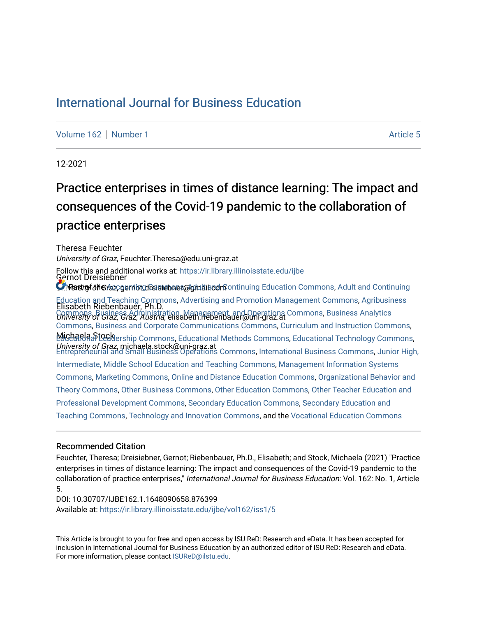## [International Journal for Business Education](https://ir.library.illinoisstate.edu/ijbe)

[Volume 162](https://ir.library.illinoisstate.edu/ijbe/vol162) [Number 1](https://ir.library.illinoisstate.edu/ijbe/vol162/iss1) Article 5

12-2021

# Practice enterprises in times of distance learning: The impact and consequences of the Covid-19 pandemic to the collaboration of practice enterprises

Theresa Feuchter University of Graz, Feuchter.Theresa@edu.uni-graz.at Gernot Dreisiebner **O** iPartiny of the Accountive of the interpretation of the Commons, [Adult and Continuing](http://network.bepress.com/hgg/discipline/804?utm_source=ir.library.illinoisstate.edu%2Fijbe%2Fvol162%2Fiss1%2F5&utm_medium=PDF&utm_campaign=PDFCoverPages) in the Accounting setting [Education and Teaching Commons,](http://network.bepress.com/hgg/discipline/804?utm_source=ir.library.illinoisstate.edu%2Fijbe%2Fvol162%2Fiss1%2F5&utm_medium=PDF&utm_campaign=PDFCoverPages) [Advertising and Promotion Management Commons,](http://network.bepress.com/hgg/discipline/626?utm_source=ir.library.illinoisstate.edu%2Fijbe%2Fvol162%2Fiss1%2F5&utm_medium=PDF&utm_campaign=PDFCoverPages) [Agribusiness](http://network.bepress.com/hgg/discipline/1051?utm_source=ir.library.illinoisstate.edu%2Fijbe%2Fvol162%2Fiss1%2F5&utm_medium=PDF&utm_campaign=PDFCoverPages)<br>Elisabeth Riebenbauer, Ph.D. [Commons](http://network.bepress.com/hgg/discipline/1051?utm_source=ir.library.illinoisstate.edu%2Fijbe%2Fvol162%2Fiss1%2F5&utm_medium=PDF&utm_campaign=PDFCoverPages), [Business Administration, Management, and Operations Commons,](http://network.bepress.com/hgg/discipline/623?utm_source=ir.library.illinoisstate.edu%2Fijbe%2Fvol162%2Fiss1%2F5&utm_medium=PDF&utm_campaign=PDFCoverPages) Business Analytics<br>*University of Graz, Graz, Austria*, elisabeth.riebenbauer@uni-graz.at Michaela Stockership Commons, [Educational Methods Commons](http://network.bepress.com/hgg/discipline/1227?utm_source=ir.library.illinoisstate.edu%2Fijbe%2Fvol162%2Fiss1%2F5&utm_medium=PDF&utm_campaign=PDFCoverPages), [Educational Technology Commons](http://network.bepress.com/hgg/discipline/1415?utm_source=ir.library.illinoisstate.edu%2Fijbe%2Fvol162%2Fiss1%2F5&utm_medium=PDF&utm_campaign=PDFCoverPages), University of Graz, michaela.stock@uni-graz.at [Entrepreneurial and Small Business Operations Commons](http://network.bepress.com/hgg/discipline/630?utm_source=ir.library.illinoisstate.edu%2Fijbe%2Fvol162%2Fiss1%2F5&utm_medium=PDF&utm_campaign=PDFCoverPages), [International Business Commons](http://network.bepress.com/hgg/discipline/634?utm_source=ir.library.illinoisstate.edu%2Fijbe%2Fvol162%2Fiss1%2F5&utm_medium=PDF&utm_campaign=PDFCoverPages), [Junior High,](http://network.bepress.com/hgg/discipline/807?utm_source=ir.library.illinoisstate.edu%2Fijbe%2Fvol162%2Fiss1%2F5&utm_medium=PDF&utm_campaign=PDFCoverPages)  Follow this and additional works at: [https://ir.library.illinoisstate.edu/ijbe](https://ir.library.illinoisstate.edu/ijbe?utm_source=ir.library.illinoisstate.edu%2Fijbe%2Fvol162%2Fiss1%2F5&utm_medium=PDF&utm_campaign=PDFCoverPages) [Commons](http://network.bepress.com/hgg/discipline/1398?utm_source=ir.library.illinoisstate.edu%2Fijbe%2Fvol162%2Fiss1%2F5&utm_medium=PDF&utm_campaign=PDFCoverPages), [Business and Corporate Communications Commons,](http://network.bepress.com/hgg/discipline/627?utm_source=ir.library.illinoisstate.edu%2Fijbe%2Fvol162%2Fiss1%2F5&utm_medium=PDF&utm_campaign=PDFCoverPages) [Curriculum and Instruction Commons,](http://network.bepress.com/hgg/discipline/786?utm_source=ir.library.illinoisstate.edu%2Fijbe%2Fvol162%2Fiss1%2F5&utm_medium=PDF&utm_campaign=PDFCoverPages) [Intermediate, Middle School Education and Teaching Commons](http://network.bepress.com/hgg/discipline/807?utm_source=ir.library.illinoisstate.edu%2Fijbe%2Fvol162%2Fiss1%2F5&utm_medium=PDF&utm_campaign=PDFCoverPages), [Management Information Systems](http://network.bepress.com/hgg/discipline/636?utm_source=ir.library.illinoisstate.edu%2Fijbe%2Fvol162%2Fiss1%2F5&utm_medium=PDF&utm_campaign=PDFCoverPages)  [Commons](http://network.bepress.com/hgg/discipline/636?utm_source=ir.library.illinoisstate.edu%2Fijbe%2Fvol162%2Fiss1%2F5&utm_medium=PDF&utm_campaign=PDFCoverPages), [Marketing Commons,](http://network.bepress.com/hgg/discipline/638?utm_source=ir.library.illinoisstate.edu%2Fijbe%2Fvol162%2Fiss1%2F5&utm_medium=PDF&utm_campaign=PDFCoverPages) [Online and Distance Education Commons](http://network.bepress.com/hgg/discipline/1296?utm_source=ir.library.illinoisstate.edu%2Fijbe%2Fvol162%2Fiss1%2F5&utm_medium=PDF&utm_campaign=PDFCoverPages), [Organizational Behavior and](http://network.bepress.com/hgg/discipline/639?utm_source=ir.library.illinoisstate.edu%2Fijbe%2Fvol162%2Fiss1%2F5&utm_medium=PDF&utm_campaign=PDFCoverPages) [Theory Commons](http://network.bepress.com/hgg/discipline/639?utm_source=ir.library.illinoisstate.edu%2Fijbe%2Fvol162%2Fiss1%2F5&utm_medium=PDF&utm_campaign=PDFCoverPages), [Other Business Commons,](http://network.bepress.com/hgg/discipline/647?utm_source=ir.library.illinoisstate.edu%2Fijbe%2Fvol162%2Fiss1%2F5&utm_medium=PDF&utm_campaign=PDFCoverPages) [Other Education Commons,](http://network.bepress.com/hgg/discipline/811?utm_source=ir.library.illinoisstate.edu%2Fijbe%2Fvol162%2Fiss1%2F5&utm_medium=PDF&utm_campaign=PDFCoverPages) [Other Teacher Education and](http://network.bepress.com/hgg/discipline/810?utm_source=ir.library.illinoisstate.edu%2Fijbe%2Fvol162%2Fiss1%2F5&utm_medium=PDF&utm_campaign=PDFCoverPages) [Professional Development Commons](http://network.bepress.com/hgg/discipline/810?utm_source=ir.library.illinoisstate.edu%2Fijbe%2Fvol162%2Fiss1%2F5&utm_medium=PDF&utm_campaign=PDFCoverPages), [Secondary Education Commons](http://network.bepress.com/hgg/discipline/1382?utm_source=ir.library.illinoisstate.edu%2Fijbe%2Fvol162%2Fiss1%2F5&utm_medium=PDF&utm_campaign=PDFCoverPages), [Secondary Education and](http://network.bepress.com/hgg/discipline/809?utm_source=ir.library.illinoisstate.edu%2Fijbe%2Fvol162%2Fiss1%2F5&utm_medium=PDF&utm_campaign=PDFCoverPages) [Teaching Commons](http://network.bepress.com/hgg/discipline/809?utm_source=ir.library.illinoisstate.edu%2Fijbe%2Fvol162%2Fiss1%2F5&utm_medium=PDF&utm_campaign=PDFCoverPages), [Technology and Innovation Commons](http://network.bepress.com/hgg/discipline/644?utm_source=ir.library.illinoisstate.edu%2Fijbe%2Fvol162%2Fiss1%2F5&utm_medium=PDF&utm_campaign=PDFCoverPages), and the [Vocational Education Commons](http://network.bepress.com/hgg/discipline/1369?utm_source=ir.library.illinoisstate.edu%2Fijbe%2Fvol162%2Fiss1%2F5&utm_medium=PDF&utm_campaign=PDFCoverPages)

#### Recommended Citation

Feuchter, Theresa; Dreisiebner, Gernot; Riebenbauer, Ph.D., Elisabeth; and Stock, Michaela (2021) "Practice enterprises in times of distance learning: The impact and consequences of the Covid-19 pandemic to the collaboration of practice enterprises," International Journal for Business Education: Vol. 162: No. 1, Article 5.

DOI: 10.30707/IJBE162.1.1648090658.876399 Available at: [https://ir.library.illinoisstate.edu/ijbe/vol162/iss1/5](https://ir.library.illinoisstate.edu/ijbe/vol162/iss1/5?utm_source=ir.library.illinoisstate.edu%2Fijbe%2Fvol162%2Fiss1%2F5&utm_medium=PDF&utm_campaign=PDFCoverPages) 

This Article is brought to you for free and open access by ISU ReD: Research and eData. It has been accepted for inclusion in International Journal for Business Education by an authorized editor of ISU ReD: Research and eData. For more information, please contact [ISUReD@ilstu.edu.](mailto:ISUReD@ilstu.edu)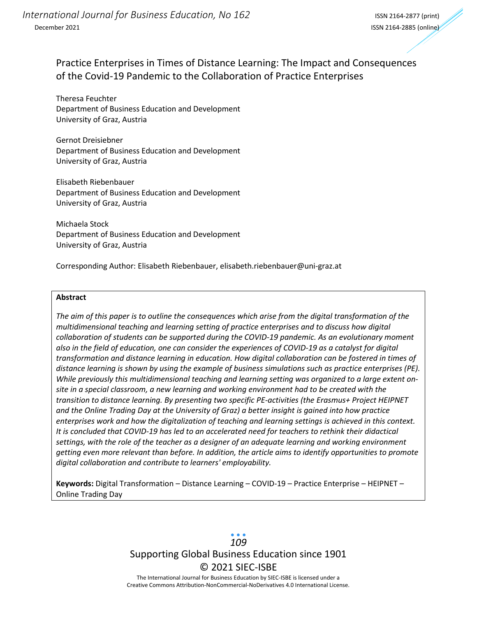## Practice Enterprises in Times of Distance Learning: The Impact and Consequences of the Covid-19 Pandemic to the Collaboration of Practice Enterprises

Theresa Feuchter Department of Business Education and Development University of Graz, Austria

Gernot Dreisiebner Department of Business Education and Development University of Graz, Austria

Elisabeth Riebenbauer Department of Business Education and Development University of Graz, Austria

Michaela Stock Department of Business Education and Development University of Graz, Austria

Corresponding Author: Elisabeth Riebenbauer, elisabeth.riebenbauer@uni-graz.at

#### **Abstract**

*The aim of this paper is to outline the consequences which arise from the digital transformation of the multidimensional teaching and learning setting of practice enterprises and to discuss how digital collaboration of students can be supported during the COVID-19 pandemic. As an evolutionary moment also in the field of education, one can consider the experiences of COVID-19 as a catalyst for digital transformation and distance learning in education. How digital collaboration can be fostered in times of distance learning is shown by using the example of business simulations such as practice enterprises (PE). While previously this multidimensional teaching and learning setting was organized to a large extent onsite in a special classroom, a new learning and working environment had to be created with the transition to distance learning. By presenting two specific PE-activities (the Erasmus+ Project HEIPNET and the Online Trading Day at the University of Graz) a better insight is gained into how practice*  enterprises work and how the digitalization of teaching and learning settings is achieved in this context. *It is concluded that COVID-19 has led to an accelerated need for teachers to rethink their didactical settings, with the role of the teacher as a designer of an adequate learning and working environment getting even more relevant than before. In addition, the article aims to identify opportunities to promote digital collaboration and contribute to learners' employability.*

**Keywords:** Digital Transformation – Distance Learning – COVID-19 – Practice Enterprise – HEIPNET – Online Trading Day

> Supporting Global Business Education since 1901 © 2021 SIEC-ISBE The International Journal for Business Education by SIEC-ISBE is licensed under a *109*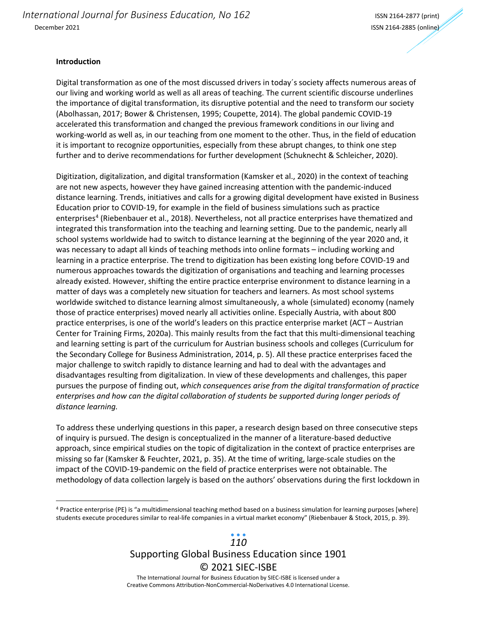*International Journal for Business Education, No 162* International ISSN 2164-2877 (print) December 2021 ISSN 2164-2885 (online)

#### **Introduction**

Digital transformation as one of the most discussed drivers in today´s society affects numerous areas of our living and working world as well as all areas of teaching. The current scientific discourse underlines the importance of digital transformation, its disruptive potential and the need to transform our society (Abolhassan, 2017; Bower & Christensen, 1995; Coupette, 2014). The global pandemic COVID-19 accelerated this transformation and changed the previous framework conditions in our living and working-world as well as, in our teaching from one moment to the other. Thus, in the field of education it is important to recognize opportunities, especially from these abrupt changes, to think one step further and to derive recommendations for further development (Schuknecht & Schleicher, 2020).

Digitization, digitalization, and digital transformation (Kamsker et al., 2020) in the context of teaching are not new aspects, however they have gained increasing attention with the pandemic-induced distance learning. Trends, initiatives and calls for a growing digital development have existed in Business Education prior to COVID-19, for example in the field of business simulations such as practice enterprises<sup>[4](#page-2-0)</sup> (Riebenbauer et al., 2018). Nevertheless, not all practice enterprises have thematized and integrated this transformation into the teaching and learning setting. Due to the pandemic, nearly all school systems worldwide had to switch to distance learning at the beginning of the year 2020 and, it was necessary to adapt all kinds of teaching methods into online formats – including working and learning in a practice enterprise. The trend to digitization has been existing long before COVID-19 and numerous approaches towards the digitization of organisations and teaching and learning processes already existed. However, shifting the entire practice enterprise environment to distance learning in a matter of days was a completely new situation for teachers and learners. As most school systems worldwide switched to distance learning almost simultaneously, a whole (simulated) economy (namely those of practice enterprises) moved nearly all activities online. Especially Austria, with about 800 practice enterprises, is one of the world's leaders on this practice enterprise market (ACT – Austrian Center for Training Firms, 2020a). This mainly results from the fact that this multi-dimensional teaching and learning setting is part of the curriculum for Austrian business schools and colleges (Curriculum for the Secondary College for Business Administration, 2014, p. 5). All these practice enterprises faced the major challenge to switch rapidly to distance learning and had to deal with the advantages and disadvantages resulting from digitalization. In view of these developments and challenges, this paper pursues the purpose of finding out, *which consequences arise from the digital transformation of practice enterpris*es *and how can the digital collaboration of students be supported during longer periods of distance learning.* 

To address these underlying questions in this paper, a research design based on three consecutive steps of inquiry is pursued. The design is conceptualized in the manner of a literature-based deductive approach, since empirical studies on the topic of digitalization in the context of practice enterprises are missing so far (Kamsker & Feuchter, 2021, p. 35). At the time of writing, large-scale studies on the impact of the COVID-19-pandemic on the field of practice enterprises were not obtainable. The methodology of data collection largely is based on the authors' observations during the first lockdown in

<span id="page-2-0"></span><sup>4</sup> Practice enterprise (PE) is "a multidimensional teaching method based on a business simulation for learning purposes [where] students execute procedures similar to real-life companies in a virtual market economy" (Riebenbauer & Stock, 2015, p. 39).

## Supporting Global Business Education since 1901 © 2021 SIEC-ISBE *110*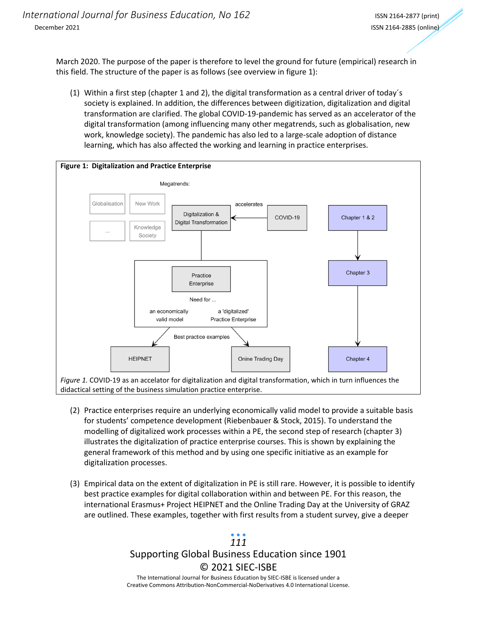March 2020. The purpose of the paper is therefore to level the ground for future (empirical) research in this field. The structure of the paper is as follows (see overview in figure 1):

(1) Within a first step (chapter 1 and 2), the digital transformation as a central driver of today´s society is explained. In addition, the differences between digitization, digitalization and digital transformation are clarified. The global COVID-19-pandemic has served as an accelerator of the digital transformation (among influencing many other megatrends, such as globalisation, new work, knowledge society). The pandemic has also led to a large-scale adoption of distance learning, which has also affected the working and learning in practice enterprises.



- (2) Practice enterprises require an underlying economically valid model to provide a suitable basis for students' competence development (Riebenbauer & Stock, 2015). To understand the modelling of digitalized work processes within a PE, the second step of research (chapter 3) illustrates the digitalization of practice enterprise courses. This is shown by explaining the general framework of this method and by using one specific initiative as an example for digitalization processes.
- (3) Empirical data on the extent of digitalization in PE is still rare. However, it is possible to identify best practice examples for digital collaboration within and between PE. For this reason, the international Erasmus+ Project HEIPNET and the Online Trading Day at the University of GRAZ are outlined. These examples, together with first results from a student survey, give a deeper

### Supporting Global Business Education since 1901 © 2021 SIEC-ISBE The International Journal for Business Education by SIEC-ISBE is licensed under a Creative Commons Attribution-NonCommercial-NoDerivatives 4.0 International License. *111*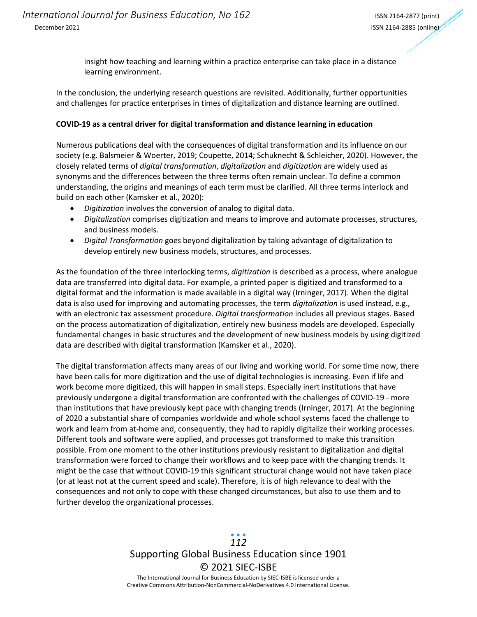insight how teaching and learning within a practice enterprise can take place in a distance learning environment.

In the conclusion, the underlying research questions are revisited. Additionally, further opportunities and challenges for practice enterprises in times of digitalization and distance learning are outlined.

#### **COVID-19 as a central driver for digital transformation and distance learning in education**

Numerous publications deal with the consequences of digital transformation and its influence on our society (e.g. Balsmeier & Woerter, 2019; Coupette, 2014; Schuknecht & Schleicher, 2020). However, the closely related terms of *digital transformation*, *digitalization* and *digitization* are widely used as synonyms and the differences between the three terms often remain unclear. To define a common understanding, the origins and meanings of each term must be clarified. All three terms interlock and build on each other (Kamsker et al., 2020):

- *Digitization* involves the conversion of analog to digital data.
- *Digitalization* comprises digitization and means to improve and automate processes, structures, and business models.
- *Digital Transformation* goes beyond digitalization by taking advantage of digitalization to develop entirely new business models, structures, and processes.

As the foundation of the three interlocking terms, *digitization* is described as a process, where analogue data are transferred into digital data. For example, a printed paper is digitized and transformed to a digital format and the information is made available in a digital way (Irninger, 2017). When the digital data is also used for improving and automating processes, the term *digitalization* is used instead, e.g., with an electronic tax assessment procedure. *Digital transformation* includes all previous stages. Based on the process automatization of digitalization, entirely new business models are developed. Especially fundamental changes in basic structures and the development of new business models by using digitized data are described with digital transformation (Kamsker et al., 2020).

The digital transformation affects many areas of our living and working world. For some time now, there have been calls for more digitization and the use of digital technologies is increasing. Even if life and work become more digitized, this will happen in small steps. Especially inert institutions that have previously undergone a digital transformation are confronted with the challenges of COVID-19 - more than institutions that have previously kept pace with changing trends (Irninger, 2017). At the beginning of 2020 a substantial share of companies worldwide and whole school systems faced the challenge to work and learn from at-home and, consequently, they had to rapidly digitalize their working processes. Different tools and software were applied, and processes got transformed to make this transition possible. From one moment to the other institutions previously resistant to digitalization and digital transformation were forced to change their workflows and to keep pace with the changing trends. It might be the case that without COVID-19 this significant structural change would not have taken place (or at least not at the current speed and scale). Therefore, it is of high relevance to deal with the consequences and not only to cope with these changed circumstances, but also to use them and to further develop the organizational processes.

## Supporting Global Business Education since 1901 © 2021 SIEC-ISBE The International Journal for Business Education by SIEC-ISBE is licensed under a *112*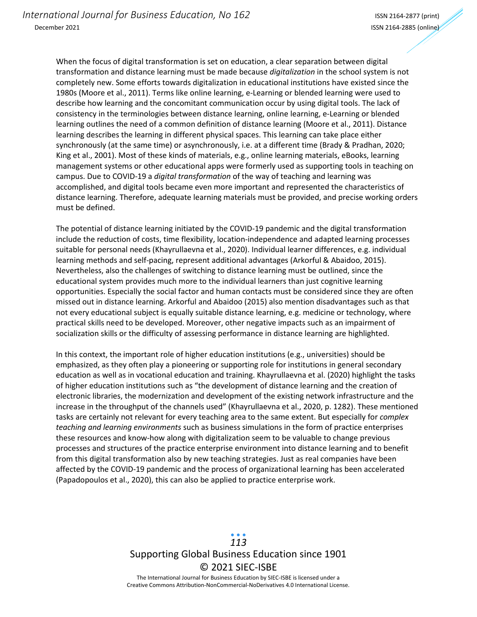When the focus of digital transformation is set on education, a clear separation between digital transformation and distance learning must be made because *digitalization* in the school system is not completely new. Some efforts towards digitalization in educational institutions have existed since the 1980s (Moore et al., 2011). Terms like online learning, e-Learning or blended learning were used to describe how learning and the concomitant communication occur by using digital tools. The lack of consistency in the terminologies between distance learning, online learning, e-Learning or blended learning outlines the need of a common definition of distance learning (Moore et al., 2011). Distance learning describes the learning in different physical spaces. This learning can take place either synchronously (at the same time) or asynchronously, i.e. at a different time (Brady & Pradhan, 2020; King et al., 2001). Most of these kinds of materials, e.g., online learning materials, eBooks, learning management systems or other educational apps were formerly used as supporting tools in teaching on campus. Due to COVID-19 a *digital transformation* of the way of teaching and learning was accomplished, and digital tools became even more important and represented the characteristics of distance learning. Therefore, adequate learning materials must be provided, and precise working orders must be defined.

The potential of distance learning initiated by the COVID-19 pandemic and the digital transformation include the reduction of costs, time flexibility, location-independence and adapted learning processes suitable for personal needs (Khayrullaevna et al., 2020). Individual learner differences, e.g. individual learning methods and self-pacing, represent additional advantages (Arkorful & Abaidoo, 2015). Nevertheless, also the challenges of switching to distance learning must be outlined, since the educational system provides much more to the individual learners than just cognitive learning opportunities. Especially the social factor and human contacts must be considered since they are often missed out in distance learning. Arkorful and Abaidoo (2015) also mention disadvantages such as that not every educational subject is equally suitable distance learning, e.g. medicine or technology, where practical skills need to be developed. Moreover, other negative impacts such as an impairment of socialization skills or the difficulty of assessing performance in distance learning are highlighted.

In this context, the important role of higher education institutions (e.g., universities) should be emphasized, as they often play a pioneering or supporting role for institutions in general secondary education as well as in vocational education and training. Khayrullaevna et al. (2020) highlight the tasks of higher education institutions such as "the development of distance learning and the creation of electronic libraries, the modernization and development of the existing network infrastructure and the increase in the throughput of the channels used" (Khayrullaevna et al., 2020, p. 1282). These mentioned tasks are certainly not relevant for every teaching area to the same extent. But especially for *complex teaching and learning environments* such as business simulations in the form of practice enterprises these resources and know-how along with digitalization seem to be valuable to change previous processes and structures of the practice enterprise environment into distance learning and to benefit from this digital transformation also by new teaching strategies. Just as real companies have been affected by the COVID-19 pandemic and the process of organizational learning has been accelerated (Papadopoulos et al., 2020), this can also be applied to practice enterprise work.

> Supporting Global Business Education since 1901 © 2021 SIEC-ISBE The International Journal for Business Education by SIEC-ISBE is licensed under a *113*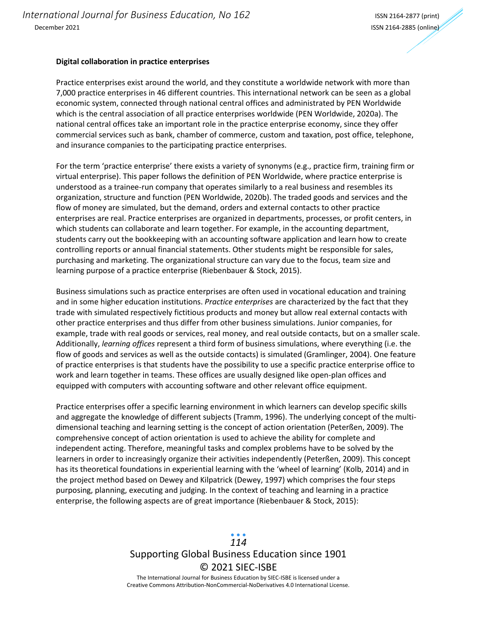#### **Digital collaboration in practice enterprises**

Practice enterprises exist around the world, and they constitute a worldwide network with more than 7,000 practice enterprises in 46 different countries. This international network can be seen as a global economic system, connected through national central offices and administrated by PEN Worldwide which is the central association of all practice enterprises worldwide (PEN Worldwide, 2020a). The national central offices take an important role in the practice enterprise economy, since they offer commercial services such as bank, chamber of commerce, custom and taxation, post office, telephone, and insurance companies to the participating practice enterprises.

For the term 'practice enterprise' there exists a variety of synonyms (e.g., practice firm, training firm or virtual enterprise). This paper follows the definition of PEN Worldwide, where practice enterprise is understood as a trainee-run company that operates similarly to a real business and resembles its organization, structure and function (PEN Worldwide, 2020b). The traded goods and services and the flow of money are simulated, but the demand, orders and external contacts to other practice enterprises are real. Practice enterprises are organized in departments, processes, or profit centers, in which students can collaborate and learn together. For example, in the accounting department, students carry out the bookkeeping with an accounting software application and learn how to create controlling reports or annual financial statements. Other students might be responsible for sales, purchasing and marketing. The organizational structure can vary due to the focus, team size and learning purpose of a practice enterprise (Riebenbauer & Stock, 2015).

Business simulations such as practice enterprises are often used in vocational education and training and in some higher education institutions. *Practice enterprises* are characterized by the fact that they trade with simulated respectively fictitious products and money but allow real external contacts with other practice enterprises and thus differ from other business simulations. Junior companies, for example, trade with real goods or services, real money, and real outside contacts, but on a smaller scale. Additionally, *learning offices* represent a third form of business simulations, where everything (i.e. the flow of goods and services as well as the outside contacts) is simulated (Gramlinger, 2004). One feature of practice enterprises is that students have the possibility to use a specific practice enterprise office to work and learn together in teams. These offices are usually designed like open-plan offices and equipped with computers with accounting software and other relevant office equipment.

Practice enterprises offer a specific learning environment in which learners can develop specific skills and aggregate the knowledge of different subjects (Tramm, 1996). The underlying concept of the multidimensional teaching and learning setting is the concept of action orientation (Peterßen, 2009). The comprehensive concept of action orientation is used to achieve the ability for complete and independent acting. Therefore, meaningful tasks and complex problems have to be solved by the learners in order to increasingly organize their activities independently (Peterßen, 2009). This concept has its theoretical foundations in experiential learning with the 'wheel of learning' (Kolb, 2014) and in the project method based on Dewey and Kilpatrick (Dewey, 1997) which comprises the four steps purposing, planning, executing and judging. In the context of teaching and learning in a practice enterprise, the following aspects are of great importance (Riebenbauer & Stock, 2015):

## Supporting Global Business Education since 1901 © 2021 SIEC-ISBE The International Journal for Business Education by SIEC-ISBE is licensed under a *114*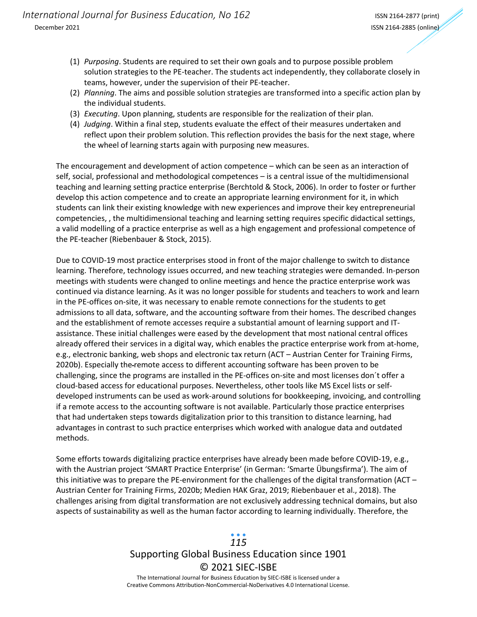- (1) *Purposing*. Students are required to set their own goals and to purpose possible problem solution strategies to the PE-teacher. The students act independently, they collaborate closely in teams, however, under the supervision of their PE-teacher.
- (2) *Planning*. The aims and possible solution strategies are transformed into a specific action plan by the individual students.
- (3) *Executing*. Upon planning, students are responsible for the realization of their plan.
- (4) *Judging*. Within a final step, students evaluate the effect of their measures undertaken and reflect upon their problem solution. This reflection provides the basis for the next stage, where the wheel of learning starts again with purposing new measures.

The encouragement and development of action competence – which can be seen as an interaction of self, social, professional and methodological competences – is a central issue of the multidimensional teaching and learning setting practice enterprise (Berchtold & Stock, 2006). In order to foster or further develop this action competence and to create an appropriate learning environment for it, in which students can link their existing knowledge with new experiences and improve their key entrepreneurial competencies, , the multidimensional teaching and learning setting requires specific didactical settings, a valid modelling of a practice enterprise as well as a high engagement and professional competence of the PE-teacher (Riebenbauer & Stock, 2015).

Due to COVID-19 most practice enterprises stood in front of the major challenge to switch to distance learning. Therefore, technology issues occurred, and new teaching strategies were demanded. In-person meetings with students were changed to online meetings and hence the practice enterprise work was continued via distance learning. As it was no longer possible for students and teachers to work and learn in the PE-offices on-site, it was necessary to enable remote connections for the students to get admissions to all data, software, and the accounting software from their homes. The described changes and the establishment of remote accesses require a substantial amount of learning support and ITassistance. These initial challenges were eased by the development that most national central offices already offered their services in a digital way, which enables the practice enterprise work from at-home, e.g., electronic banking, web shops and electronic tax return (ACT – Austrian Center for Training Firms, 2020b). Especially the remote access to different accounting software has been proven to be challenging, since the programs are installed in the PE-offices on-site and most licenses don´t offer a cloud-based access for educational purposes. Nevertheless, other tools like MS Excel lists or selfdeveloped instruments can be used as work-around solutions for bookkeeping, invoicing, and controlling if a remote access to the accounting software is not available. Particularly those practice enterprises that had undertaken steps towards digitalization prior to this transition to distance learning, had advantages in contrast to such practice enterprises which worked with analogue data and outdated methods.

Some efforts towards digitalizing practice enterprises have already been made before COVID-19, e.g., with the Austrian project 'SMART Practice Enterprise' (in German: 'Smarte Übungsfirma'). The aim of this initiative was to prepare the PE-environment for the challenges of the digital transformation (ACT – Austrian Center for Training Firms, 2020b; Medien HAK Graz, 2019; Riebenbauer et al., 2018). The challenges arising from digital transformation are not exclusively addressing technical domains, but also aspects of sustainability as well as the human factor according to learning individually. Therefore, the

# Supporting Global Business Education since 1901 © 2021 SIEC-ISBE *115*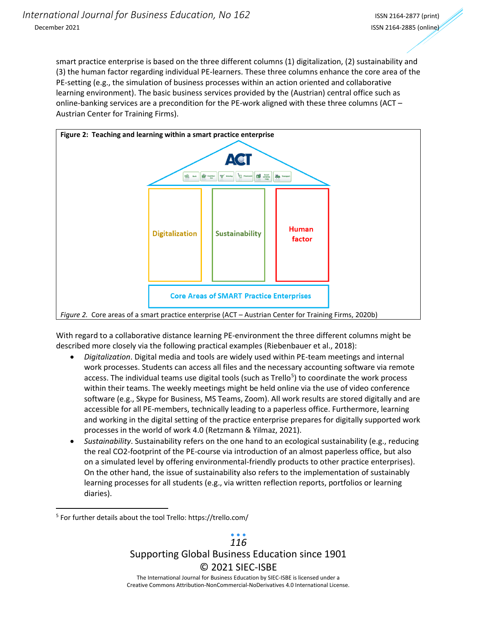smart practice enterprise is based on the three different columns (1) digitalization, (2) sustainability and (3) the human factor regarding individual PE-learners. These three columns enhance the core area of the PE-setting (e.g., the simulation of business processes within an action oriented and collaborative learning environment). The basic business services provided by the (Austrian) central office such as online-banking services are a precondition for the PE-work aligned with these three columns (ACT – Austrian Center for Training Firms).



With regard to a collaborative distance learning PE-environment the three different columns might be described more closely via the following practical examples (Riebenbauer et al., 2018):

- *Digitalization*. Digital media and tools are widely used within PE-team meetings and internal work processes. Students can access all files and the necessary accounting software via remote access. The individual teams use digital tools (such as Trello<sup>[5](#page-8-0)</sup>) to coordinate the work process within their teams. The weekly meetings might be held online via the use of video conference software (e.g., Skype for Business, MS Teams, Zoom). All work results are stored digitally and are accessible for all PE-members, technically leading to a paperless office. Furthermore, learning and working in the digital setting of the practice enterprise prepares for digitally supported work processes in the world of work 4.0 (Retzmann & Yilmaz, 2021).
- *Sustainability*. Sustainability refers on the one hand to an ecological sustainability (e.g., reducing the real CO2-footprint of the PE-course via introduction of an almost paperless office, but also on a simulated level by offering environmental-friendly products to other practice enterprises). On the other hand, the issue of sustainability also refers to the implementation of sustainably learning processes for all students (e.g., via written reflection reports, portfolios or learning diaries).

Supporting Global Business Education since 1901 © 2021 SIEC-ISBE The International Journal for Business Education by SIEC-ISBE is licensed under a *116*

<span id="page-8-0"></span><sup>5</sup> For further details about the tool Trello: https://trello.com/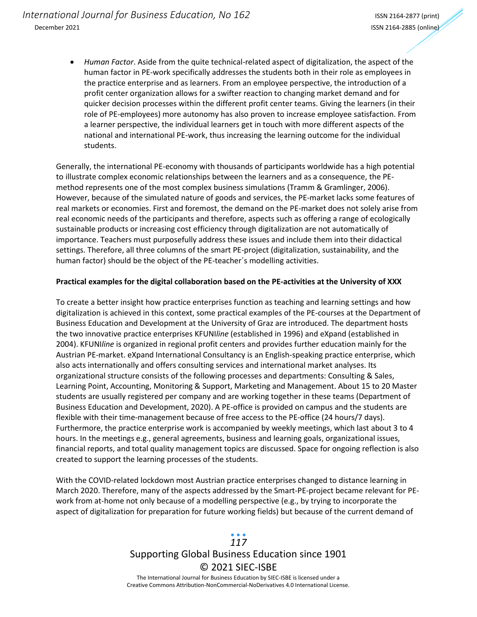• *Human Factor*. Aside from the quite technical-related aspect of digitalization, the aspect of the human factor in PE-work specifically addresses the students both in their role as employees in the practice enterprise and as learners. From an employee perspective, the introduction of a profit center organization allows for a swifter reaction to changing market demand and for quicker decision processes within the different profit center teams. Giving the learners (in their role of PE-employees) more autonomy has also proven to increase employee satisfaction. From a learner perspective, the individual learners get in touch with more different aspects of the national and international PE-work, thus increasing the learning outcome for the individual students.

Generally, the international PE-economy with thousands of participants worldwide has a high potential to illustrate complex economic relationships between the learners and as a consequence, the PEmethod represents one of the most complex business simulations (Tramm & Gramlinger, 2006). However, because of the simulated nature of goods and services, the PE-market lacks some features of real markets or economies. First and foremost, the demand on the PE-market does not solely arise from real economic needs of the participants and therefore, aspects such as offering a range of ecologically sustainable products or increasing cost efficiency through digitalization are not automatically of importance. Teachers must purposefully address these issues and include them into their didactical settings. Therefore, all three columns of the smart PE-project (digitalization, sustainability, and the human factor) should be the object of the PE-teacher´s modelling activities.

#### **Practical examples for the digital collaboration based on the PE-activities at the University of XXX**

To create a better insight how practice enterprises function as teaching and learning settings and how digitalization is achieved in this context, some practical examples of the PE-courses at the Department of Business Education and Development at the University of Graz are introduced. The department hosts the two innovative practice enterprises KFUNI*line* (established in 1996) and eXpand (established in 2004). KFUNI*line* is organized in regional profit centers and provides further education mainly for the Austrian PE-market. eXpand International Consultancy is an English-speaking practice enterprise, which also acts internationally and offers consulting services and international market analyses. Its organizational structure consists of the following processes and departments: Consulting & Sales, Learning Point, Accounting, Monitoring & Support, Marketing and Management. About 15 to 20 Master students are usually registered per company and are working together in these teams (Department of Business Education and Development, 2020). A PE-office is provided on campus and the students are flexible with their time-management because of free access to the PE-office (24 hours/7 days). Furthermore, the practice enterprise work is accompanied by weekly meetings, which last about 3 to 4 hours. In the meetings e.g., general agreements, business and learning goals, organizational issues, financial reports, and total quality management topics are discussed. Space for ongoing reflection is also created to support the learning processes of the students.

With the COVID-related lockdown most Austrian practice enterprises changed to distance learning in March 2020. Therefore, many of the aspects addressed by the Smart-PE-project became relevant for PEwork from at-home not only because of a modelling perspective (e.g., by trying to incorporate the aspect of digitalization for preparation for future working fields) but because of the current demand of

## Supporting Global Business Education since 1901 © 2021 SIEC-ISBE The International Journal for Business Education by SIEC-ISBE is licensed under a *117*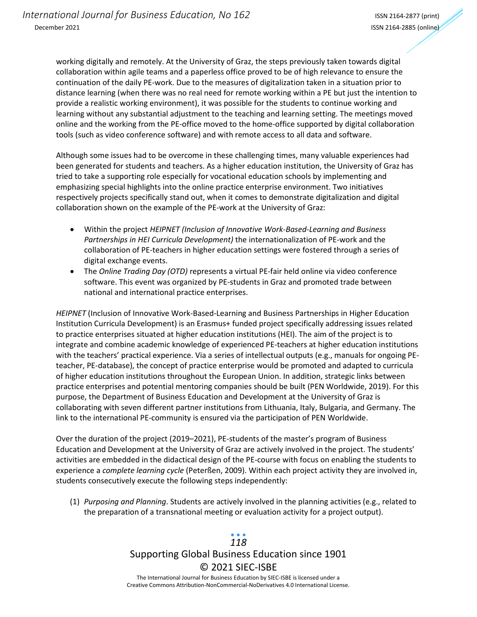working digitally and remotely. At the University of Graz, the steps previously taken towards digital collaboration within agile teams and a paperless office proved to be of high relevance to ensure the continuation of the daily PE-work. Due to the measures of digitalization taken in a situation prior to distance learning (when there was no real need for remote working within a PE but just the intention to provide a realistic working environment), it was possible for the students to continue working and learning without any substantial adjustment to the teaching and learning setting. The meetings moved online and the working from the PE-office moved to the home-office supported by digital collaboration tools (such as video conference software) and with remote access to all data and software.

Although some issues had to be overcome in these challenging times, many valuable experiences had been generated for students and teachers. As a higher education institution, the University of Graz has tried to take a supporting role especially for vocational education schools by implementing and emphasizing special highlights into the online practice enterprise environment. Two initiatives respectively projects specifically stand out, when it comes to demonstrate digitalization and digital collaboration shown on the example of the PE-work at the University of Graz:

- Within the project *HEIPNET (Inclusion of Innovative Work-Based-Learning and Business Partnerships in HEI Curricula Development)* the internationalization of PE-work and the collaboration of PE-teachers in higher education settings were fostered through a series of digital exchange events.
- The *Online Trading Day (OTD)* represents a virtual PE-fair held online via video conference software. This event was organized by PE-students in Graz and promoted trade between national and international practice enterprises.

*HEIPNET* (Inclusion of Innovative Work-Based-Learning and Business Partnerships in Higher Education Institution Curricula Development) is an Erasmus+ funded project specifically addressing issues related to practice enterprises situated at higher education institutions (HEI). The aim of the project is to integrate and combine academic knowledge of experienced PE-teachers at higher education institutions with the teachers' practical experience. Via a series of intellectual outputs (e.g., manuals for ongoing PEteacher, PE-database), the concept of practice enterprise would be promoted and adapted to curricula of higher education institutions throughout the European Union. In addition, strategic links between practice enterprises and potential mentoring companies should be built (PEN Worldwide, 2019). For this purpose, the Department of Business Education and Development at the University of Graz is collaborating with seven different partner institutions from Lithuania, Italy, Bulgaria, and Germany. The link to the international PE-community is ensured via the participation of PEN Worldwide.

Over the duration of the project (2019–2021), PE-students of the master's program of Business Education and Development at the University of Graz are actively involved in the project. The students' activities are embedded in the didactical design of the PE-course with focus on enabling the students to experience a *complete learning cycle* (Peterßen, 2009). Within each project activity they are involved in, students consecutively execute the following steps independently:

(1) *Purposing and Planning*. Students are actively involved in the planning activities (e.g., related to the preparation of a transnational meeting or evaluation activity for a project output).

## Supporting Global Business Education since 1901 © 2021 SIEC-ISBE The International Journal for Business Education by SIEC-ISBE is licensed under a *118*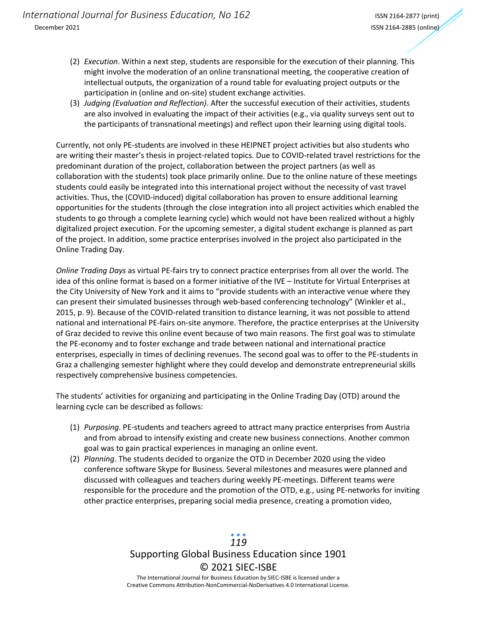- (2) *Execution*. Within a next step, students are responsible for the execution of their planning. This might involve the moderation of an online transnational meeting, the cooperative creation of intellectual outputs, the organization of a round table for evaluating project outputs or the participation in (online and on-site) student exchange activities.
- (3) *Judging (Evaluation and Reflection)*. After the successful execution of their activities, students are also involved in evaluating the impact of their activities (e.g., via quality surveys sent out to the participants of transnational meetings) and reflect upon their learning using digital tools.

Currently, not only PE-students are involved in these HEIPNET project activities but also students who are writing their master's thesis in project-related topics. Due to COVID-related travel restrictions for the predominant duration of the project, collaboration between the project partners (as well as collaboration with the students) took place primarily online. Due to the online nature of these meetings students could easily be integrated into this international project without the necessity of vast travel activities. Thus, the (COVID-induced) digital collaboration has proven to ensure additional learning opportunities for the students (through the close integration into all project activities which enabled the students to go through a complete learning cycle) which would not have been realized without a highly digitalized project execution. For the upcoming semester, a digital student exchange is planned as part of the project. In addition, some practice enterprises involved in the project also participated in the Online Trading Day.

*Online Trading Days* as virtual PE-fairs try to connect practice enterprises from all over the world. The idea of this online format is based on a former initiative of the IVE – Institute for Virtual Enterprises at the City University of New York and it aims to "provide students with an interactive venue where they can present their simulated businesses through web-based conferencing technology" (Winkler et al., 2015, p. 9). Because of the COVID-related transition to distance learning, it was not possible to attend national and international PE-fairs on-site anymore. Therefore, the practice enterprises at the University of Graz decided to revive this online event because of two main reasons. The first goal was to stimulate the PE-economy and to foster exchange and trade between national and international practice enterprises, especially in times of declining revenues. The second goal was to offer to the PE-students in Graz a challenging semester highlight where they could develop and demonstrate entrepreneurial skills respectively comprehensive business competencies.

The students' activities for organizing and participating in the Online Trading Day (OTD) around the learning cycle can be described as follows:

- (1) *Purposing*. PE-students and teachers agreed to attract many practice enterprises from Austria and from abroad to intensify existing and create new business connections. Another common goal was to gain practical experiences in managing an online event.
- (2) *Planning*. The students decided to organize the OTD in December 2020 using the video conference software Skype for Business. Several milestones and measures were planned and discussed with colleagues and teachers during weekly PE-meetings. Different teams were responsible for the procedure and the promotion of the OTD, e.g., using PE-networks for inviting other practice enterprises, preparing social media presence, creating a promotion video,

## Supporting Global Business Education since 1901 © 2021 SIEC-ISBE The International Journal for Business Education by SIEC-ISBE is licensed under a *119*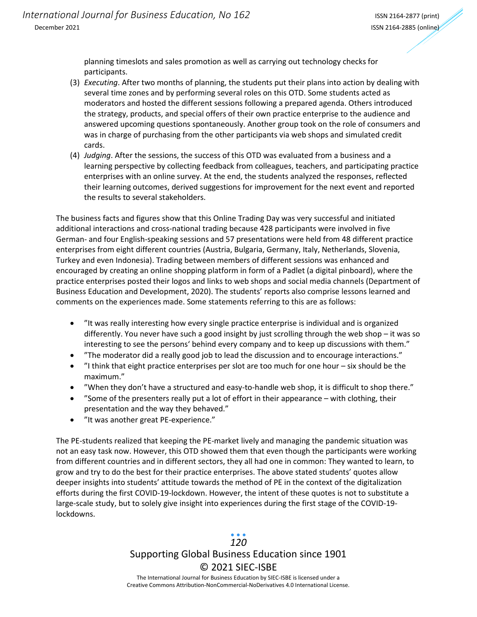planning timeslots and sales promotion as well as carrying out technology checks for participants.

- (3) *Executing*. After two months of planning, the students put their plans into action by dealing with several time zones and by performing several roles on this OTD. Some students acted as moderators and hosted the different sessions following a prepared agenda. Others introduced the strategy, products, and special offers of their own practice enterprise to the audience and answered upcoming questions spontaneously. Another group took on the role of consumers and was in charge of purchasing from the other participants via web shops and simulated credit cards.
- (4) *Judging*. After the sessions, the success of this OTD was evaluated from a business and a learning perspective by collecting feedback from colleagues, teachers, and participating practice enterprises with an online survey. At the end, the students analyzed the responses, reflected their learning outcomes, derived suggestions for improvement for the next event and reported the results to several stakeholders.

The business facts and figures show that this Online Trading Day was very successful and initiated additional interactions and cross-national trading because 428 participants were involved in five German- and four English-speaking sessions and 57 presentations were held from 48 different practice enterprises from eight different countries (Austria, Bulgaria, Germany, Italy, Netherlands, Slovenia, Turkey and even Indonesia). Trading between members of different sessions was enhanced and encouraged by creating an online shopping platform in form of a Padlet (a digital pinboard), where the practice enterprises posted their logos and links to web shops and social media channels (Department of Business Education and Development, 2020). The students' reports also comprise lessons learned and comments on the experiences made. Some statements referring to this are as follows:

- "It was really interesting how every single practice enterprise is individual and is organized differently. You never have such a good insight by just scrolling through the web shop – it was so interesting to see the persons' behind every company and to keep up discussions with them."
- "The moderator did a really good job to lead the discussion and to encourage interactions."
- "I think that eight practice enterprises per slot are too much for one hour six should be the maximum."
- "When they don't have a structured and easy-to-handle web shop, it is difficult to shop there."
- "Some of the presenters really put a lot of effort in their appearance with clothing, their presentation and the way they behaved."
- "It was another great PE-experience."

The PE-students realized that keeping the PE-market lively and managing the pandemic situation was not an easy task now. However, this OTD showed them that even though the participants were working from different countries and in different sectors, they all had one in common: They wanted to learn, to grow and try to do the best for their practice enterprises. The above stated students' quotes allow deeper insights into students' attitude towards the method of PE in the context of the digitalization efforts during the first COVID-19-lockdown. However, the intent of these quotes is not to substitute a large-scale study, but to solely give insight into experiences during the first stage of the COVID-19 lockdowns.

### Supporting Global Business Education since 1901 © 2021 SIEC-ISBE The International Journal for Business Education by SIEC-ISBE is licensed under a *120*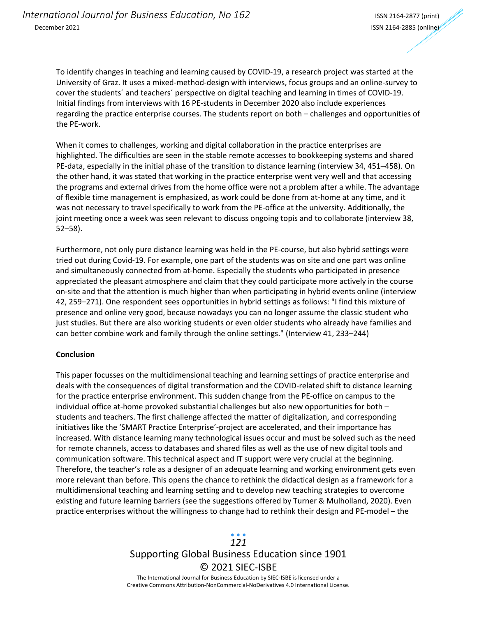To identify changes in teaching and learning caused by COVID-19, a research project was started at the University of Graz. It uses a mixed-method-design with interviews, focus groups and an online-survey to cover the students´ and teachers´ perspective on digital teaching and learning in times of COVID-19. Initial findings from interviews with 16 PE-students in December 2020 also include experiences regarding the practice enterprise courses. The students report on both – challenges and opportunities of the PE-work.

When it comes to challenges, working and digital collaboration in the practice enterprises are highlighted. The difficulties are seen in the stable remote accesses to bookkeeping systems and shared PE-data, especially in the initial phase of the transition to distance learning (interview 34, 451–458). On the other hand, it was stated that working in the practice enterprise went very well and that accessing the programs and external drives from the home office were not a problem after a while. The advantage of flexible time management is emphasized, as work could be done from at-home at any time, and it was not necessary to travel specifically to work from the PE-office at the university. Additionally, the joint meeting once a week was seen relevant to discuss ongoing topis and to collaborate (interview 38, 52–58).

Furthermore, not only pure distance learning was held in the PE-course, but also hybrid settings were tried out during Covid-19. For example, one part of the students was on site and one part was online and simultaneously connected from at-home. Especially the students who participated in presence appreciated the pleasant atmosphere and claim that they could participate more actively in the course on-site and that the attention is much higher than when participating in hybrid events online (interview 42, 259–271). One respondent sees opportunities in hybrid settings as follows: "I find this mixture of presence and online very good, because nowadays you can no longer assume the classic student who just studies. But there are also working students or even older students who already have families and can better combine work and family through the online settings." (Interview 41, 233–244)

#### **Conclusion**

This paper focusses on the multidimensional teaching and learning settings of practice enterprise and deals with the consequences of digital transformation and the COVID-related shift to distance learning for the practice enterprise environment. This sudden change from the PE-office on campus to the individual office at-home provoked substantial challenges but also new opportunities for both – students and teachers. The first challenge affected the matter of digitalization, and corresponding initiatives like the 'SMART Practice Enterprise'-project are accelerated, and their importance has increased. With distance learning many technological issues occur and must be solved such as the need for remote channels, access to databases and shared files as well as the use of new digital tools and communication software. This technical aspect and IT support were very crucial at the beginning. Therefore, the teacher's role as a designer of an adequate learning and working environment gets even more relevant than before. This opens the chance to rethink the didactical design as a framework for a multidimensional teaching and learning setting and to develop new teaching strategies to overcome existing and future learning barriers (see the suggestions offered by Turner & Mulholland, 2020). Even practice enterprises without the willingness to change had to rethink their design and PE-model – the

## Supporting Global Business Education since 1901 © 2021 SIEC-ISBE *121*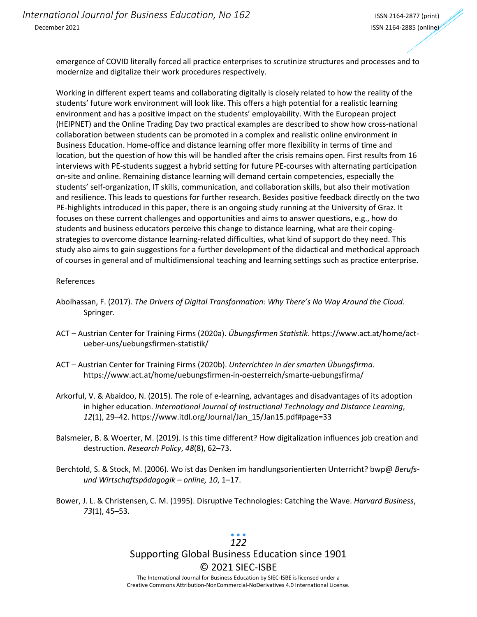emergence of COVID literally forced all practice enterprises to scrutinize structures and processes and to modernize and digitalize their work procedures respectively.

Working in different expert teams and collaborating digitally is closely related to how the reality of the students' future work environment will look like. This offers a high potential for a realistic learning environment and has a positive impact on the students' employability. With the European project (HEIPNET) and the Online Trading Day two practical examples are described to show how cross-national collaboration between students can be promoted in a complex and realistic online environment in Business Education. Home-office and distance learning offer more flexibility in terms of time and location, but the question of how this will be handled after the crisis remains open. First results from 16 interviews with PE-students suggest a hybrid setting for future PE-courses with alternating participation on-site and online. Remaining distance learning will demand certain competencies, especially the students' self-organization, IT skills, communication, and collaboration skills, but also their motivation and resilience. This leads to questions for further research. Besides positive feedback directly on the two PE-highlights introduced in this paper, there is an ongoing study running at the University of Graz. It focuses on these current challenges and opportunities and aims to answer questions, e.g., how do students and business educators perceive this change to distance learning, what are their copingstrategies to overcome distance learning-related difficulties, what kind of support do they need. This study also aims to gain suggestions for a further development of the didactical and methodical approach of courses in general and of multidimensional teaching and learning settings such as practice enterprise.

#### References

- Abolhassan, F. (2017). *The Drivers of Digital Transformation: Why There's No Way Around the Cloud*. Springer.
- ACT Austrian Center for Training Firms (2020a). *Übungsfirmen Statistik*. https://www.act.at/home/actueber-uns/uebungsfirmen-statistik/
- ACT Austrian Center for Training Firms (2020b). *Unterrichten in der smarten Übungsfirma*. https://www.act.at/home/uebungsfirmen-in-oesterreich/smarte-uebungsfirma/
- Arkorful, V. & Abaidoo, N. (2015). The role of e-learning, advantages and disadvantages of its adoption in higher education. *International Journal of Instructional Technology and Distance Learning*, *12*(1), 29–42. https://www.itdl.org/Journal/Jan\_15/Jan15.pdf#page=33
- Balsmeier, B. & Woerter, M. (2019). Is this time different? How digitalization influences job creation and destruction. *Research Policy*, *48*(8), 62–73.
- Berchtold, S. & Stock, M. (2006). Wo ist das Denken im handlungsorientierten Unterricht? bwp@ *Berufsund Wirtschaftspädagogik – online, 10*, 1–17.
- Bower, J. L. & Christensen, C. M. (1995). Disruptive Technologies: Catching the Wave. *Harvard Business*, *73*(1), 45–53.

## *122*

# Supporting Global Business Education since 1901 © 2021 SIEC-ISBE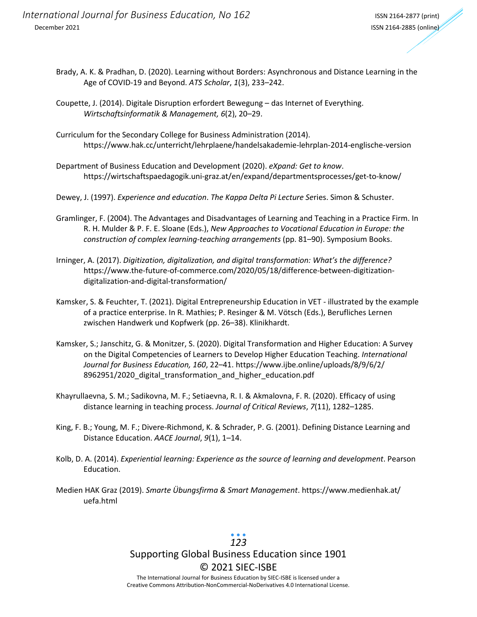- Brady, A. K. & Pradhan, D. (2020). Learning without Borders: Asynchronous and Distance Learning in the Age of COVID-19 and Beyond. *ATS Scholar*, *1*(3), 233–242.
- Coupette, J. (2014). Digitale Disruption erfordert Bewegung das Internet of Everything. *Wirtschaftsinformatik & Management, 6*(2), 20–29.
- Curriculum for the Secondary College for Business Administration (2014). https://www.hak.cc/unterricht/lehrplaene/handelsakademie-lehrplan-2014-englische-version
- Department of Business Education and Development (2020). *eXpand: Get to know*. https://wirtschaftspaedagogik.uni-graz.at/en/expand/departmentsprocesses/get-to-know/
- Dewey, J. (1997). *Experience and education*. *The Kappa Delta Pi Lecture Se*ries. Simon & Schuster.
- Gramlinger, F. (2004). The Advantages and Disadvantages of Learning and Teaching in a Practice Firm. In R. H. Mulder & P. F. E. Sloane (Eds.), *New Approaches to Vocational Education in Europe: the construction of complex learning-teaching arrangements* (pp. 81–90). Symposium Books.
- Irninger, A. (2017). *Digitization, digitalization, and digital transformation: What's the difference?* https://www.the-future-of-commerce.com/2020/05/18/difference-between-digitizationdigitalization-and-digital-transformation/
- Kamsker, S. & Feuchter, T. (2021). Digital Entrepreneurship Education in VET illustrated by the example of a practice enterprise. In R. Mathies; P. Resinger & M. Vötsch (Eds.), Berufliches Lernen zwischen Handwerk und Kopfwerk (pp. 26–38). Klinikhardt.
- Kamsker, S.; Janschitz, G. & Monitzer, S. (2020). Digital Transformation and Higher Education: A Survey on the Digital Competencies of Learners to Develop Higher Education Teaching. *International Journal for Business Education, 160*, 22–41. https://www.ijbe.online/uploads/8/9/6/2/ 8962951/2020\_digital\_transformation\_and\_higher\_education.pdf
- Khayrullaevna, S. M.; Sadikovna, M. F.; Setiaevna, R. I. & Akmalovna, F. R. (2020). Efficacy of using distance learning in teaching process. *Journal of Critical Reviews*, *7*(11), 1282–1285.
- King, F. B.; Young, M. F.; Divere-Richmond, K. & Schrader, P. G. (2001). Defining Distance Learning and Distance Education. *AACE Journal*, *9*(1), 1–14.
- Kolb, D. A. (2014). *Experiential learning: Experience as the source of learning and development*. Pearson Education.
- Medien HAK Graz (2019). *Smarte Übungsfirma & Smart Management*. https://www.medienhak.at/ uefa.html

## Supporting Global Business Education since 1901 © 2021 SIEC-ISBE The International Journal for Business Education by SIEC-ISBE is licensed under a *123*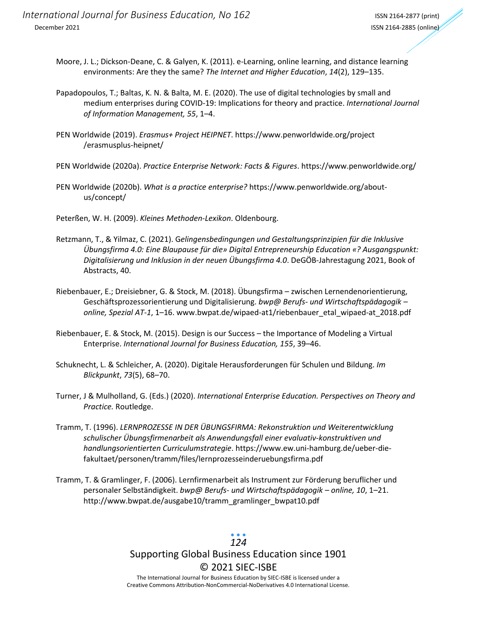- Moore, J. L.; Dickson-Deane, C. & Galyen, K. (2011). e-Learning, online learning, and distance learning environments: Are they the same? *The Internet and Higher Education*, *14*(2), 129–135.
- Papadopoulos, T.; Baltas, K. N. & Balta, M. E. (2020). The use of digital technologies by small and medium enterprises during COVID-19: Implications for theory and practice. *International Journal of Information Management, 55*, 1–4.
- PEN Worldwide (2019). *Erasmus+ Project HEIPNET*. https://www.penworldwide.org/project /erasmusplus-heipnet/

PEN Worldwide (2020a). *Practice Enterprise Network: Facts & Figures*. https://www.penworldwide.org/

- PEN Worldwide (2020b). *What is a practice enterprise?* https://www.penworldwide.org/aboutus/concept/
- Peterßen, W. H. (2009). *Kleines Methoden-Lexikon*. Oldenbourg.
- Retzmann, T., & Yilmaz, C. (2021). G*elingensbedingungen und Gestaltungsprinzipien für die Inklusive Übungsfirma 4.0: Eine Blaupause für die» Digital Entrepreneurship Education «? Ausgangspunkt: Digitalisierung und Inklusion in der neuen Übungsfirma 4.0*. DeGÖB-Jahrestagung 2021, Book of Abstracts, 40.
- Riebenbauer, E.; Dreisiebner, G. & Stock, M. (2018). Übungsfirma zwischen Lernendenorientierung, Geschäftsprozessorientierung und Digitalisierung. *bwp@ Berufs- und Wirtschaftspädagogik – online, Spezial AT-1*, 1–16. www.bwpat.de/wipaed-at1/riebenbauer\_etal\_wipaed-at\_2018.pdf
- Riebenbauer, E. & Stock, M. (2015). Design is our Success the Importance of Modeling a Virtual Enterprise. *International Journal for Business Education, 155*, 39–46.
- Schuknecht, L. & Schleicher, A. (2020). Digitale Herausforderungen für Schulen und Bildung. *Im Blickpunkt*, *73*(5), 68–70.
- Turner, J & Mulholland, G. (Eds.) (2020). *International Enterprise Education. Perspectives on Theory and Practice.* Routledge.
- Tramm, T. (1996). *LERNPROZESSE IN DER ÜBUNGSFIRMA: Rekonstruktion und Weiterentwicklung schulischer Übungsfirmenarbeit als Anwendungsfall einer evaluativ-konstruktiven und handlungsorientierten Curriculumstrategie*. https://www.ew.uni-hamburg.de/ueber-diefakultaet/personen/tramm/files/lernprozesseinderuebungsfirma.pdf
- Tramm, T. & Gramlinger, F. (2006). Lernfirmenarbeit als Instrument zur Förderung beruflicher und personaler Selbständigkeit. *bwp@ Berufs- und Wirtschaftspädagogik – online, 10*, 1–21. http://www.bwpat.de/ausgabe10/tramm\_gramlinger\_bwpat10.pdf

Supporting Global Business Education since 1901 © 2021 SIEC-ISBE The International Journal for Business Education by SIEC-ISBE is licensed under a *124*